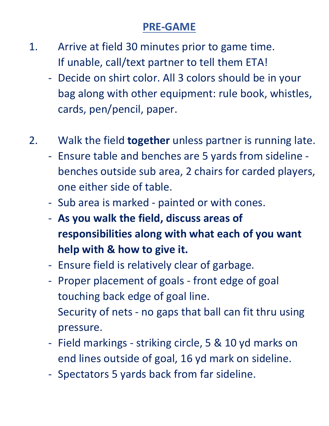## **PRE-GAME**

- 1. Arrive at field 30 minutes prior to game time. If unable, call/text partner to tell them ETA!
	- Decide on shirt color. All 3 colors should be in your bag along with other equipment: rule book, whistles, cards, pen/pencil, paper.

## 2. Walk the field **together** unless partner is running late.

- Ensure table and benches are 5 yards from sideline benches outside sub area, 2 chairs for carded players, one either side of table.
- Sub area is marked painted or with cones.
- **As you walk the field, discuss areas of responsibilities along with what each of you want help with & how to give it.**
- Ensure field is relatively clear of garbage.
- Proper placement of goals front edge of goal touching back edge of goal line. Security of nets - no gaps that ball can fit thru using pressure.
- Field markings striking circle, 5 & 10 yd marks on end lines outside of goal, 16 yd mark on sideline.
- Spectators 5 yards back from far sideline.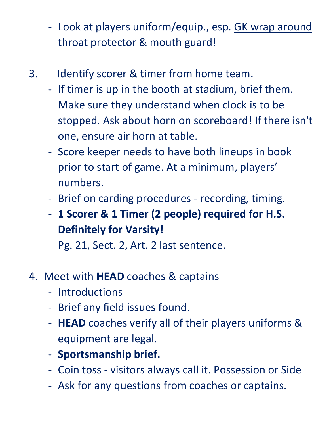- Look at players uniform/equip., esp. GK wrap around throat protector & mouth guard!
- 3. Identify scorer & timer from home team.
	- If timer is up in the booth at stadium, brief them. Make sure they understand when clock is to be stopped. Ask about horn on scoreboard! If there isn't one, ensure air horn at table.
	- Score keeper needs to have both lineups in book prior to start of game. At a minimum, players' numbers.
	- Brief on carding procedures recording, timing.
	- **1 Scorer & 1 Timer (2 people) required for H.S. Definitely for Varsity!**

Pg. 21, Sect. 2, Art. 2 last sentence.

## 4. Meet with **HEAD** coaches & captains

- Introductions
- Brief any field issues found.
- **HEAD** coaches verify all of their players uniforms & equipment are legal.
- **Sportsmanship brief.**
- Coin toss visitors always call it. Possession or Side
- Ask for any questions from coaches or captains.